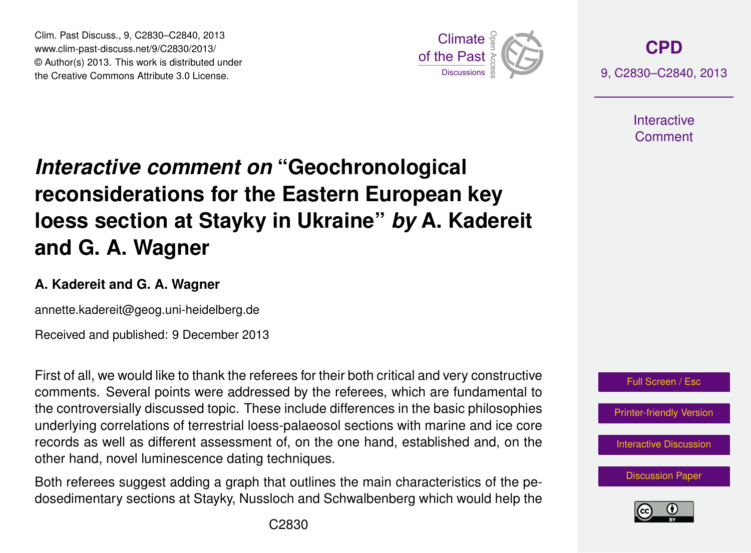Clim. Past Discuss., 9, C2830–C2840, 2013 www.clim-past-discuss.net/9/C2830/2013/  $\circledcirc$  Author(s) 2013. This work is distributed under the Creative Commons Attribute 3.0 License.  $\frac{2}{\pi}$ 



**[CPD](http://www.clim-past-discuss.net)** 9, C2830–C2840, 2013

> **Interactive** Comment

#### *Interactive comment on* "Geochronological hne for th where  $\ddot{ }$ at Stavky  $\epsilon$ **reconsiderations for the Eastern European key** h<sub>od</sub>m: and loess section at Stayky in Ukraine" *by* A. Kadereit )<br>C **and G. A. Wagner**

# A. Kadereit and G. A. Wagner

annette.kadereit@geog.uni-heidelberg.de

Hydrology and Received and published: 9 December 2013 3<br>0

First of all, we would like to thank the referees for their both critical and very constructive The controversially discussed topic. These include differences in the basic philosophies S<br>DS<br>DS m<br>d<br>d underlying correlations of terrestrial loess-palaeosol sections with marine and ice core comments. Several points were addressed by the referees, which are fundamental to records as well as different assessment of, on the one hand, established and, on the other hand, novel luminescence dating techniques.

Both referees suggest adding a graph that outlines the main characteristics of the peτ<br>th<br>S of<br>J Discussions dosedimentary sections at Stayky, Nussloch and Schwalbenberg which would help the





Open Access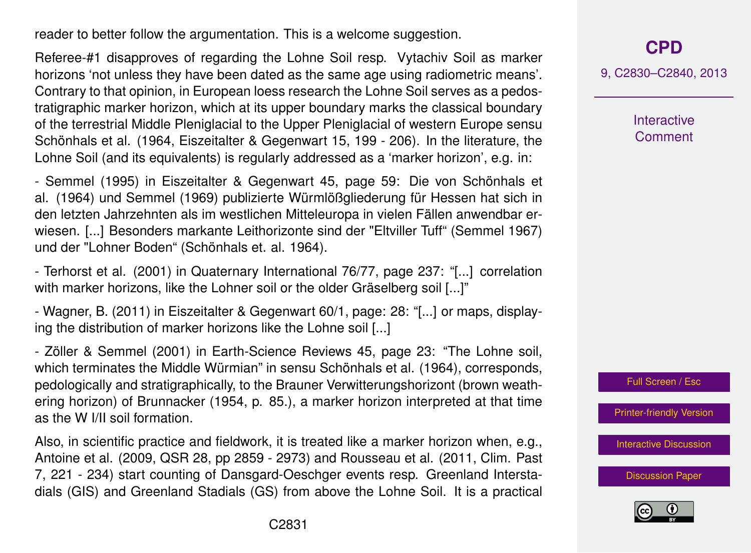reader to better follow the argumentation. This is a welcome suggestion.

Referee-#1 disapproves of regarding the Lohne Soil resp. Vytachiv Soil as marker horizons 'not unless they have been dated as the same age using radiometric means'. Contrary to that opinion, in European loess research the Lohne Soil serves as a pedostratigraphic marker horizon, which at its upper boundary marks the classical boundary of the terrestrial Middle Pleniglacial to the Upper Pleniglacial of western Europe sensu Schönhals et al. (1964, Eiszeitalter & Gegenwart 15, 199 - 206). In the literature, the Lohne Soil (and its equivalents) is regularly addressed as a 'marker horizon', e.g. in:

- Semmel (1995) in Eiszeitalter & Gegenwart 45, page 59: Die von Schönhals et al. (1964) und Semmel (1969) publizierte Würmlößgliederung für Hessen hat sich in den letzten Jahrzehnten als im westlichen Mitteleuropa in vielen Fällen anwendbar erwiesen. [...] Besonders markante Leithorizonte sind der "Eltviller Tuff" (Semmel 1967) und der "Lohner Boden" (Schönhals et. al. 1964).

- Terhorst et al. (2001) in Quaternary International 76/77, page 237: "[...] correlation with marker horizons, like the Lohner soil or the older Gräselberg soil [...]"

- Wagner, B. (2011) in Eiszeitalter & Gegenwart 60/1, page: 28: "[...] or maps, displaying the distribution of marker horizons like the Lohne soil [...]

- Zöller & Semmel (2001) in Earth-Science Reviews 45, page 23: "The Lohne soil, which terminates the Middle Würmian" in sensu Schönhals et al. (1964), corresponds, pedologically and stratigraphically, to the Brauner Verwitterungshorizont (brown weathering horizon) of Brunnacker (1954, p. 85.), a marker horizon interpreted at that time as the W I/II soil formation.

Also, in scientific practice and fieldwork, it is treated like a marker horizon when, e.g., Antoine et al. (2009, QSR 28, pp 2859 - 2973) and Rousseau et al. (2011, Clim. Past 7, 221 - 234) start counting of Dansgard-Oeschger events resp. Greenland Interstadials (GIS) and Greenland Stadials (GS) from above the Lohne Soil. It is a practical

**[CPD](http://www.clim-past-discuss.net)**

9, C2830–C2840, 2013

**Interactive Comment** 

Full Screen / Esc

[Printer-friendly Version](http://www.clim-past-discuss.net/9/C2830/2013/cpd-9-C2830-2013-print.pdf)

[Interactive Discussion](http://www.clim-past-discuss.net/9/2629/2013/cpd-9-2629-2013-discussion.html)

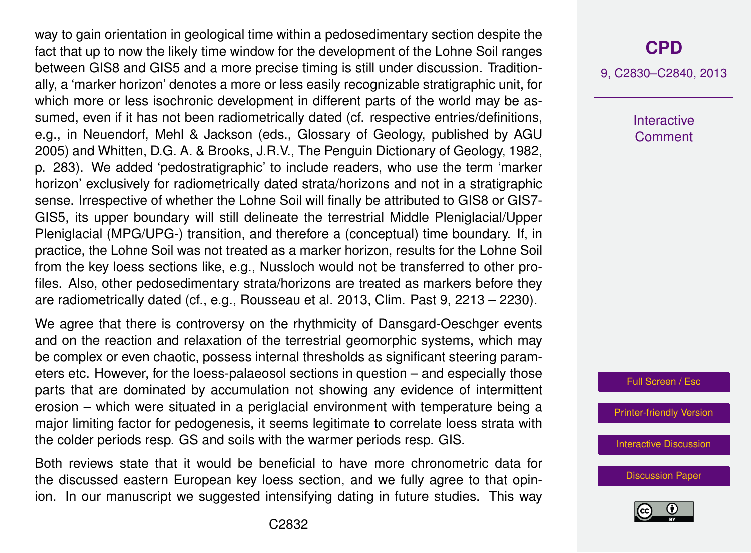way to gain orientation in geological time within a pedosedimentary section despite the fact that up to now the likely time window for the development of the Lohne Soil ranges between GIS8 and GIS5 and a more precise timing is still under discussion. Traditionally, a 'marker horizon' denotes a more or less easily recognizable stratigraphic unit, for which more or less isochronic development in different parts of the world may be assumed, even if it has not been radiometrically dated (cf. respective entries/definitions, e.g., in Neuendorf, Mehl & Jackson (eds., Glossary of Geology, published by AGU 2005) and Whitten, D.G. A. & Brooks, J.R.V., The Penguin Dictionary of Geology, 1982, p. 283). We added 'pedostratigraphic' to include readers, who use the term 'marker horizon' exclusively for radiometrically dated strata/horizons and not in a stratigraphic sense. Irrespective of whether the Lohne Soil will finally be attributed to GIS8 or GIS7- GIS5, its upper boundary will still delineate the terrestrial Middle Pleniglacial/Upper Pleniglacial (MPG/UPG-) transition, and therefore a (conceptual) time boundary. If, in practice, the Lohne Soil was not treated as a marker horizon, results for the Lohne Soil from the key loess sections like, e.g., Nussloch would not be transferred to other profiles. Also, other pedosedimentary strata/horizons are treated as markers before they are radiometrically dated (cf., e.g., Rousseau et al. 2013, Clim. Past 9, 2213 – 2230).

We agree that there is controversy on the rhythmicity of Dansgard-Oeschger events and on the reaction and relaxation of the terrestrial geomorphic systems, which may be complex or even chaotic, possess internal thresholds as significant steering parameters etc. However, for the loess-palaeosol sections in question – and especially those parts that are dominated by accumulation not showing any evidence of intermittent erosion – which were situated in a periglacial environment with temperature being a major limiting factor for pedogenesis, it seems legitimate to correlate loess strata with the colder periods resp. GS and soils with the warmer periods resp. GIS.

Both reviews state that it would be beneficial to have more chronometric data for the discussed eastern European key loess section, and we fully agree to that opinion. In our manuscript we suggested intensifying dating in future studies. This way 9, C2830–C2840, 2013

**Interactive** Comment

Full Screen / Esc

[Printer-friendly Version](http://www.clim-past-discuss.net/9/C2830/2013/cpd-9-C2830-2013-print.pdf)

[Interactive Discussion](http://www.clim-past-discuss.net/9/2629/2013/cpd-9-2629-2013-discussion.html)

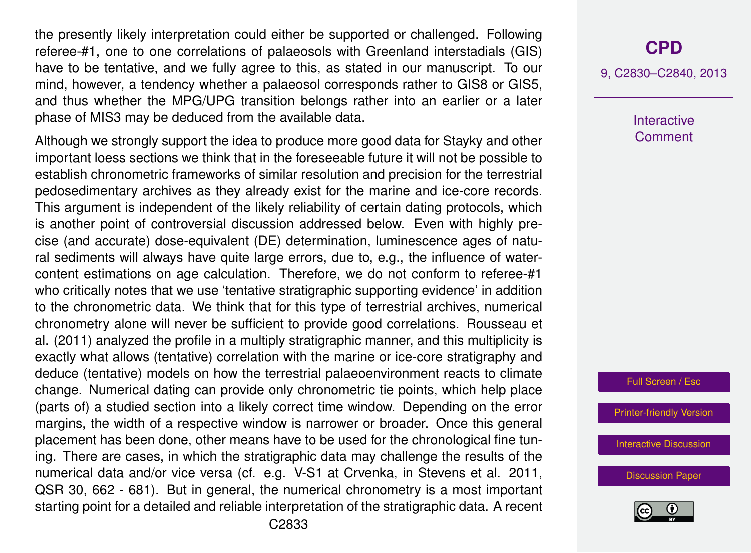the presently likely interpretation could either be supported or challenged. Following referee-#1, one to one correlations of palaeosols with Greenland interstadials (GIS) have to be tentative, and we fully agree to this, as stated in our manuscript. To our mind, however, a tendency whether a palaeosol corresponds rather to GIS8 or GIS5, and thus whether the MPG/UPG transition belongs rather into an earlier or a later phase of MIS3 may be deduced from the available data.

Although we strongly support the idea to produce more good data for Stayky and other important loess sections we think that in the foreseeable future it will not be possible to establish chronometric frameworks of similar resolution and precision for the terrestrial pedosedimentary archives as they already exist for the marine and ice-core records. This argument is independent of the likely reliability of certain dating protocols, which is another point of controversial discussion addressed below. Even with highly precise (and accurate) dose-equivalent (DE) determination, luminescence ages of natural sediments will always have quite large errors, due to, e.g., the influence of watercontent estimations on age calculation. Therefore, we do not conform to referee-#1 who critically notes that we use 'tentative stratigraphic supporting evidence' in addition to the chronometric data. We think that for this type of terrestrial archives, numerical chronometry alone will never be sufficient to provide good correlations. Rousseau et al. (2011) analyzed the profile in a multiply stratigraphic manner, and this multiplicity is exactly what allows (tentative) correlation with the marine or ice-core stratigraphy and deduce (tentative) models on how the terrestrial palaeoenvironment reacts to climate change. Numerical dating can provide only chronometric tie points, which help place (parts of) a studied section into a likely correct time window. Depending on the error margins, the width of a respective window is narrower or broader. Once this general placement has been done, other means have to be used for the chronological fine tuning. There are cases, in which the stratigraphic data may challenge the results of the numerical data and/or vice versa (cf. e.g. V-S1 at Crvenka, in Stevens et al. 2011, QSR 30, 662 - 681). But in general, the numerical chronometry is a most important starting point for a detailed and reliable interpretation of the stratigraphic data. A recent

9, C2830–C2840, 2013

**Interactive Comment** 

Full Screen / Esc

[Printer-friendly Version](http://www.clim-past-discuss.net/9/C2830/2013/cpd-9-C2830-2013-print.pdf)

[Interactive Discussion](http://www.clim-past-discuss.net/9/2629/2013/cpd-9-2629-2013-discussion.html)

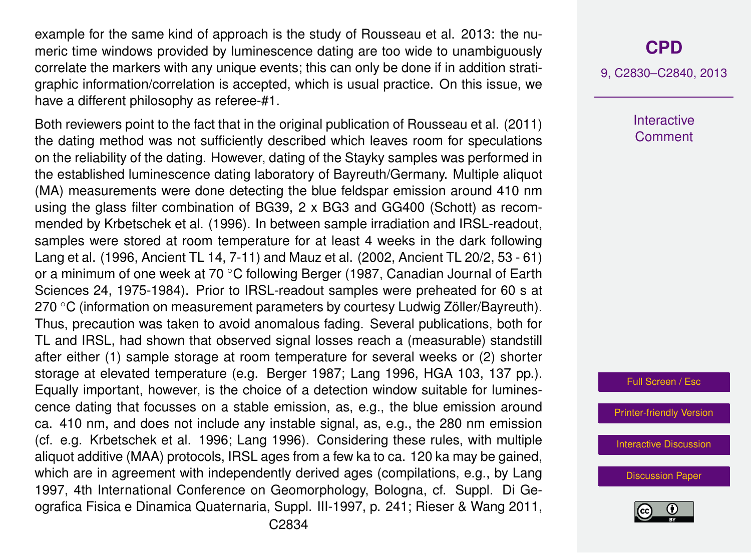example for the same kind of approach is the study of Rousseau et al. 2013: the numeric time windows provided by luminescence dating are too wide to unambiguously correlate the markers with any unique events; this can only be done if in addition stratigraphic information/correlation is accepted, which is usual practice. On this issue, we have a different philosophy as referee-#1.

Both reviewers point to the fact that in the original publication of Rousseau et al. (2011) the dating method was not sufficiently described which leaves room for speculations on the reliability of the dating. However, dating of the Stayky samples was performed in the established luminescence dating laboratory of Bayreuth/Germany. Multiple aliquot (MA) measurements were done detecting the blue feldspar emission around 410 nm using the glass filter combination of BG39, 2 x BG3 and GG400 (Schott) as recommended by Krbetschek et al. (1996). In between sample irradiation and IRSL-readout, samples were stored at room temperature for at least 4 weeks in the dark following Lang et al. (1996, Ancient TL 14, 7-11) and Mauz et al. (2002, Ancient TL 20/2, 53 - 61) or a minimum of one week at 70 ◦C following Berger (1987, Canadian Journal of Earth Sciences 24, 1975-1984). Prior to IRSL-readout samples were preheated for 60 s at 270 ◦C (information on measurement parameters by courtesy Ludwig Zöller/Bayreuth). Thus, precaution was taken to avoid anomalous fading. Several publications, both for TL and IRSL, had shown that observed signal losses reach a (measurable) standstill after either (1) sample storage at room temperature for several weeks or (2) shorter storage at elevated temperature (e.g. Berger 1987; Lang 1996, HGA 103, 137 pp.). Equally important, however, is the choice of a detection window suitable for luminescence dating that focusses on a stable emission, as, e.g., the blue emission around ca. 410 nm, and does not include any instable signal, as, e.g., the 280 nm emission (cf. e.g. Krbetschek et al. 1996; Lang 1996). Considering these rules, with multiple aliquot additive (MAA) protocols, IRSL ages from a few ka to ca. 120 ka may be gained, which are in agreement with independently derived ages (compilations, e.g., by Lang 1997, 4th International Conference on Geomorphology, Bologna, cf. Suppl. Di Geografica Fisica e Dinamica Quaternaria, Suppl. III-1997, p. 241; Rieser & Wang 2011,

### **[CPD](http://www.clim-past-discuss.net)**

9, C2830–C2840, 2013

**Interactive Comment** 

Full Screen / Esc

[Printer-friendly Version](http://www.clim-past-discuss.net/9/C2830/2013/cpd-9-C2830-2013-print.pdf)

[Interactive Discussion](http://www.clim-past-discuss.net/9/2629/2013/cpd-9-2629-2013-discussion.html)

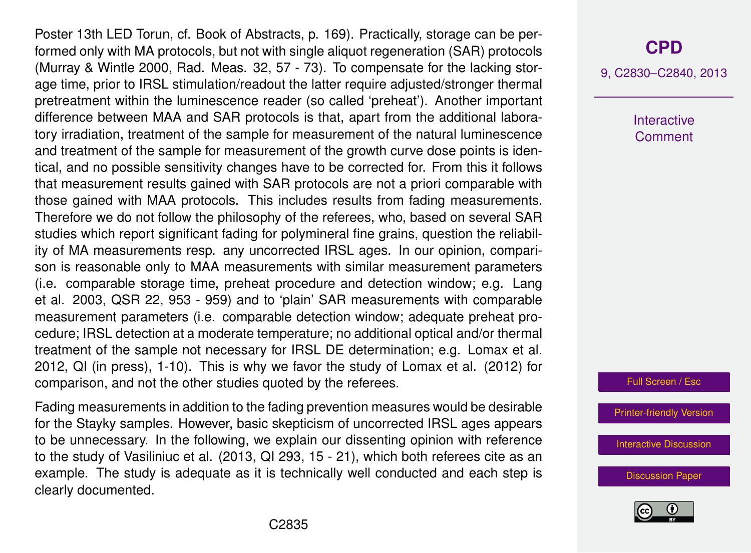Poster 13th LED Torun, cf. Book of Abstracts, p. 169). Practically, storage can be performed only with MA protocols, but not with single aliquot regeneration (SAR) protocols (Murray & Wintle 2000, Rad. Meas. 32, 57 - 73). To compensate for the lacking storage time, prior to IRSL stimulation/readout the latter require adjusted/stronger thermal pretreatment within the luminescence reader (so called 'preheat'). Another important difference between MAA and SAR protocols is that, apart from the additional laboratory irradiation, treatment of the sample for measurement of the natural luminescence and treatment of the sample for measurement of the growth curve dose points is identical, and no possible sensitivity changes have to be corrected for. From this it follows that measurement results gained with SAR protocols are not a priori comparable with those gained with MAA protocols. This includes results from fading measurements. Therefore we do not follow the philosophy of the referees, who, based on several SAR studies which report significant fading for polymineral fine grains, question the reliability of MA measurements resp. any uncorrected IRSL ages. In our opinion, comparison is reasonable only to MAA measurements with similar measurement parameters (i.e. comparable storage time, preheat procedure and detection window; e.g. Lang et al. 2003, QSR 22, 953 - 959) and to 'plain' SAR measurements with comparable measurement parameters (i.e. comparable detection window; adequate preheat procedure; IRSL detection at a moderate temperature; no additional optical and/or thermal treatment of the sample not necessary for IRSL DE determination; e.g. Lomax et al. 2012, QI (in press), 1-10). This is why we favor the study of Lomax et al. (2012) for comparison, and not the other studies quoted by the referees.

Fading measurements in addition to the fading prevention measures would be desirable for the Stayky samples. However, basic skepticism of uncorrected IRSL ages appears to be unnecessary. In the following, we explain our dissenting opinion with reference to the study of Vasiliniuc et al. (2013, QI 293, 15 - 21), which both referees cite as an example. The study is adequate as it is technically well conducted and each step is clearly documented.

# **[CPD](http://www.clim-past-discuss.net)**

9, C2830–C2840, 2013

**Interactive Comment** 



[Printer-friendly Version](http://www.clim-past-discuss.net/9/C2830/2013/cpd-9-C2830-2013-print.pdf)

[Interactive Discussion](http://www.clim-past-discuss.net/9/2629/2013/cpd-9-2629-2013-discussion.html)

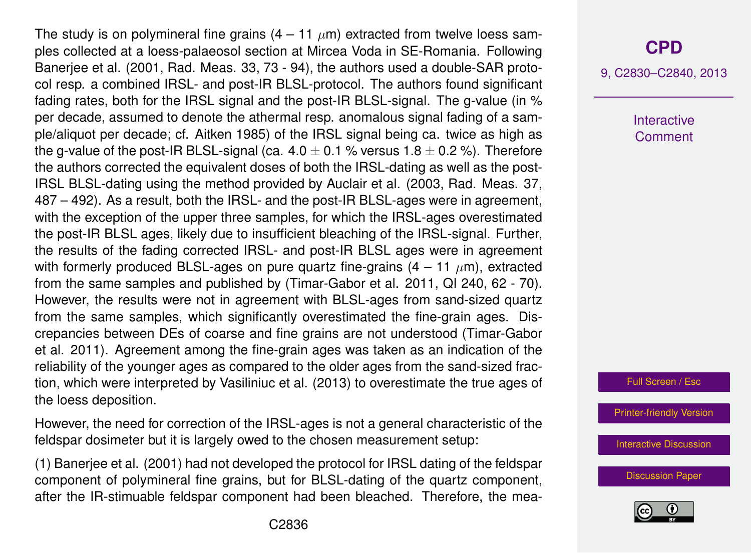The study is on polymineral fine grains  $(4 - 11 \mu m)$  extracted from twelve loess samples collected at a loess-palaeosol section at Mircea Voda in SE-Romania. Following Banerjee et al. (2001, Rad. Meas. 33, 73 - 94), the authors used a double-SAR protocol resp. a combined IRSL- and post-IR BLSL-protocol. The authors found significant fading rates, both for the IRSL signal and the post-IR BLSL-signal. The g-value (in % per decade, assumed to denote the athermal resp. anomalous signal fading of a sample/aliquot per decade; cf. Aitken 1985) of the IRSL signal being ca. twice as high as the g-value of the post-IR BLSL-signal (ca.  $4.0 \pm 0.1$  % versus  $1.8 \pm 0.2$  %). Therefore the authors corrected the equivalent doses of both the IRSL-dating as well as the post-IRSL BLSL-dating using the method provided by Auclair et al. (2003, Rad. Meas. 37, 487 – 492). As a result, both the IRSL- and the post-IR BLSL-ages were in agreement, with the exception of the upper three samples, for which the IRSL-ages overestimated the post-IR BLSL ages, likely due to insufficient bleaching of the IRSL-signal. Further, the results of the fading corrected IRSL- and post-IR BLSL ages were in agreement with formerly produced BLSL-ages on pure quartz fine-grains  $(4 - 11 \mu m)$ , extracted from the same samples and published by (Timar-Gabor et al. 2011, QI 240, 62 - 70). However, the results were not in agreement with BLSL-ages from sand-sized quartz from the same samples, which significantly overestimated the fine-grain ages. Discrepancies between DEs of coarse and fine grains are not understood (Timar-Gabor et al. 2011). Agreement among the fine-grain ages was taken as an indication of the reliability of the younger ages as compared to the older ages from the sand-sized fraction, which were interpreted by Vasiliniuc et al. (2013) to overestimate the true ages of the loess deposition.

However, the need for correction of the IRSL-ages is not a general characteristic of the feldspar dosimeter but it is largely owed to the chosen measurement setup:

(1) Banerjee et al. (2001) had not developed the protocol for IRSL dating of the feldspar component of polymineral fine grains, but for BLSL-dating of the quartz component, after the IR-stimuable feldspar component had been bleached. Therefore, the mea-

# **[CPD](http://www.clim-past-discuss.net)**

9, C2830–C2840, 2013

**Interactive Comment** 

Full Screen / Esc

[Printer-friendly Version](http://www.clim-past-discuss.net/9/C2830/2013/cpd-9-C2830-2013-print.pdf)

[Interactive Discussion](http://www.clim-past-discuss.net/9/2629/2013/cpd-9-2629-2013-discussion.html)

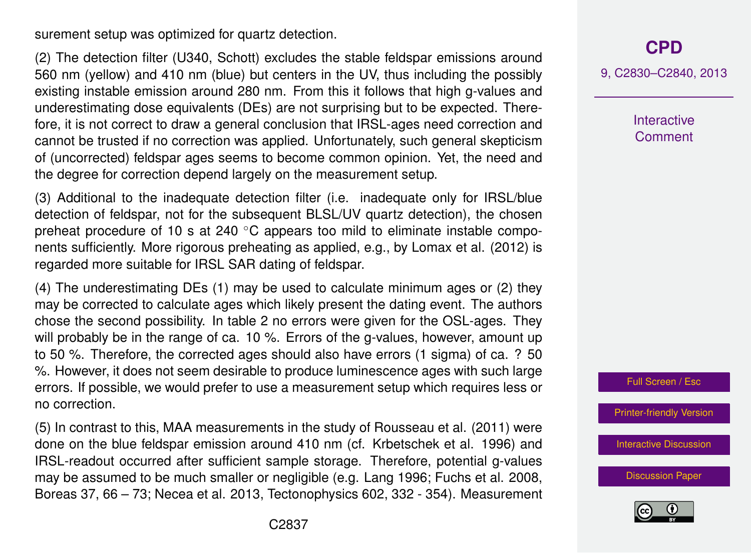surement setup was optimized for quartz detection.

(2) The detection filter (U340, Schott) excludes the stable feldspar emissions around 560 nm (yellow) and 410 nm (blue) but centers in the UV, thus including the possibly existing instable emission around 280 nm. From this it follows that high g-values and underestimating dose equivalents (DEs) are not surprising but to be expected. Therefore, it is not correct to draw a general conclusion that IRSL-ages need correction and cannot be trusted if no correction was applied. Unfortunately, such general skepticism of (uncorrected) feldspar ages seems to become common opinion. Yet, the need and the degree for correction depend largely on the measurement setup.

(3) Additional to the inadequate detection filter (i.e. inadequate only for IRSL/blue detection of feldspar, not for the subsequent BLSL/UV quartz detection), the chosen preheat procedure of 10 s at 240 °C appears too mild to eliminate instable components sufficiently. More rigorous preheating as applied, e.g., by Lomax et al. (2012) is regarded more suitable for IRSL SAR dating of feldspar.

(4) The underestimating DEs (1) may be used to calculate minimum ages or (2) they may be corrected to calculate ages which likely present the dating event. The authors chose the second possibility. In table 2 no errors were given for the OSL-ages. They will probably be in the range of ca. 10 %. Errors of the g-values, however, amount up to 50 %. Therefore, the corrected ages should also have errors (1 sigma) of ca. ? 50 %. However, it does not seem desirable to produce luminescence ages with such large errors. If possible, we would prefer to use a measurement setup which requires less or no correction.

(5) In contrast to this, MAA measurements in the study of Rousseau et al. (2011) were done on the blue feldspar emission around 410 nm (cf. Krbetschek et al. 1996) and IRSL-readout occurred after sufficient sample storage. Therefore, potential g-values may be assumed to be much smaller or negligible (e.g. Lang 1996; Fuchs et al. 2008, Boreas 37, 66 – 73; Necea et al. 2013, Tectonophysics 602, 332 - 354). Measurement **[CPD](http://www.clim-past-discuss.net)**

9, C2830–C2840, 2013

**Interactive Comment** 

Full Screen / Esc

[Printer-friendly Version](http://www.clim-past-discuss.net/9/C2830/2013/cpd-9-C2830-2013-print.pdf)

[Interactive Discussion](http://www.clim-past-discuss.net/9/2629/2013/cpd-9-2629-2013-discussion.html)

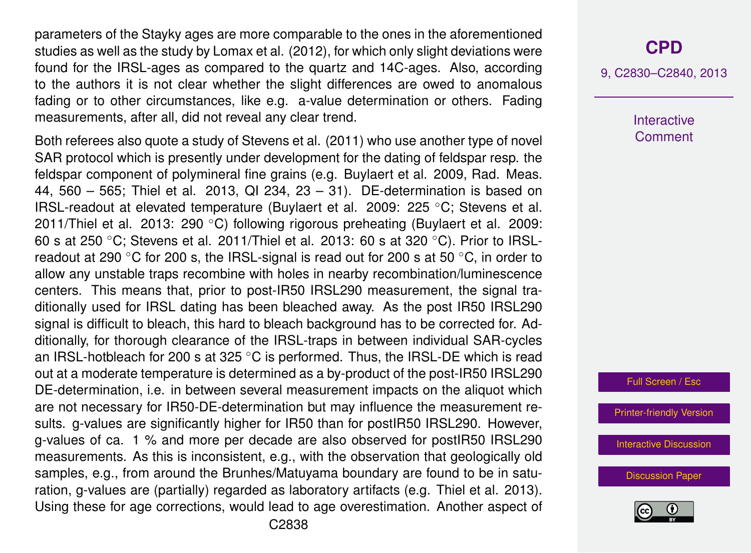parameters of the Stayky ages are more comparable to the ones in the aforementioned studies as well as the study by Lomax et al. (2012), for which only slight deviations were found for the IRSL-ages as compared to the quartz and 14C-ages. Also, according to the authors it is not clear whether the slight differences are owed to anomalous fading or to other circumstances, like e.g. a-value determination or others. Fading measurements, after all, did not reveal any clear trend.

Both referees also quote a study of Stevens et al. (2011) who use another type of novel SAR protocol which is presently under development for the dating of feldspar resp. the feldspar component of polymineral fine grains (e.g. Buylaert et al. 2009, Rad. Meas. 44, 560 – 565; Thiel et al. 2013, QI 234, 23 – 31). DE-determination is based on IRSL-readout at elevated temperature (Buylaert et al. 2009: 225 ◦C; Stevens et al. 2011/Thiel et al. 2013: 290 ◦C) following rigorous preheating (Buylaert et al. 2009: 60 s at 250  $\degree$ C; Stevens et al. 2011/Thiel et al. 2013: 60 s at 320  $\degree$ C). Prior to IRSLreadout at 290  $\degree$ C for 200 s, the IRSL-signal is read out for 200 s at 50  $\degree$ C, in order to allow any unstable traps recombine with holes in nearby recombination/luminescence centers. This means that, prior to post-IR50 IRSL290 measurement, the signal traditionally used for IRSL dating has been bleached away. As the post IR50 IRSL290 signal is difficult to bleach, this hard to bleach background has to be corrected for. Additionally, for thorough clearance of the IRSL-traps in between individual SAR-cycles an IRSL-hotbleach for 200 s at 325  $\degree$ C is performed. Thus, the IRSL-DE which is read out at a moderate temperature is determined as a by-product of the post-IR50 IRSL290 DE-determination, i.e. in between several measurement impacts on the aliquot which are not necessary for IR50-DE-determination but may influence the measurement results. g-values are significantly higher for IR50 than for postIR50 IRSL290. However, g-values of ca. 1 % and more per decade are also observed for postIR50 IRSL290 measurements. As this is inconsistent, e.g., with the observation that geologically old samples, e.g., from around the Brunhes/Matuyama boundary are found to be in saturation, g-values are (partially) regarded as laboratory artifacts (e.g. Thiel et al. 2013). Using these for age corrections, would lead to age overestimation. Another aspect of

#### **[CPD](http://www.clim-past-discuss.net)**

9, C2830–C2840, 2013

**Interactive Comment** 

Full Screen / Esc

[Printer-friendly Version](http://www.clim-past-discuss.net/9/C2830/2013/cpd-9-C2830-2013-print.pdf)

[Interactive Discussion](http://www.clim-past-discuss.net/9/2629/2013/cpd-9-2629-2013-discussion.html)

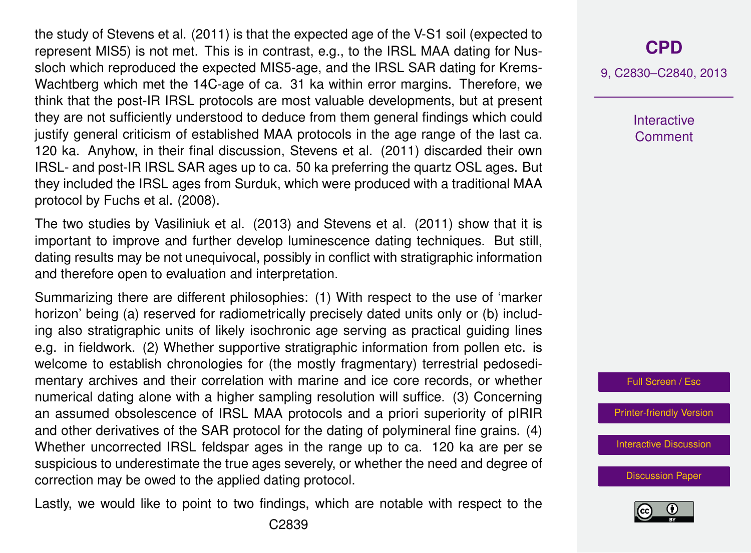the study of Stevens et al. (2011) is that the expected age of the V-S1 soil (expected to represent MIS5) is not met. This is in contrast, e.g., to the IRSL MAA dating for Nussloch which reproduced the expected MIS5-age, and the IRSL SAR dating for Krems-Wachtberg which met the 14C-age of ca. 31 ka within error margins. Therefore, we think that the post-IR IRSL protocols are most valuable developments, but at present they are not sufficiently understood to deduce from them general findings which could justify general criticism of established MAA protocols in the age range of the last ca. 120 ka. Anyhow, in their final discussion, Stevens et al. (2011) discarded their own IRSL- and post-IR IRSL SAR ages up to ca. 50 ka preferring the quartz OSL ages. But they included the IRSL ages from Surduk, which were produced with a traditional MAA protocol by Fuchs et al. (2008).

The two studies by Vasiliniuk et al. (2013) and Stevens et al. (2011) show that it is important to improve and further develop luminescence dating techniques. But still, dating results may be not unequivocal, possibly in conflict with stratigraphic information and therefore open to evaluation and interpretation.

Summarizing there are different philosophies: (1) With respect to the use of 'marker horizon' being (a) reserved for radiometrically precisely dated units only or (b) including also stratigraphic units of likely isochronic age serving as practical guiding lines e.g. in fieldwork. (2) Whether supportive stratigraphic information from pollen etc. is welcome to establish chronologies for (the mostly fragmentary) terrestrial pedosedimentary archives and their correlation with marine and ice core records, or whether numerical dating alone with a higher sampling resolution will suffice. (3) Concerning an assumed obsolescence of IRSL MAA protocols and a priori superiority of pIRIR and other derivatives of the SAR protocol for the dating of polymineral fine grains. (4) Whether uncorrected IRSL feldspar ages in the range up to ca. 120 ka are per se suspicious to underestimate the true ages severely, or whether the need and degree of correction may be owed to the applied dating protocol.

Lastly, we would like to point to two findings, which are notable with respect to the

### **[CPD](http://www.clim-past-discuss.net)**

9, C2830–C2840, 2013

**Interactive Comment** 

Full Screen / Esc

[Printer-friendly Version](http://www.clim-past-discuss.net/9/C2830/2013/cpd-9-C2830-2013-print.pdf)

[Interactive Discussion](http://www.clim-past-discuss.net/9/2629/2013/cpd-9-2629-2013-discussion.html)